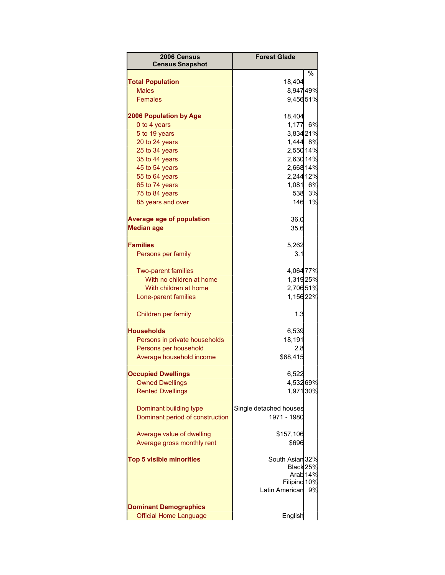| 2006 Census<br><b>Census Snapshot</b>                  | <b>Forest Glade</b>    |          |
|--------------------------------------------------------|------------------------|----------|
|                                                        |                        | ℅        |
| <b>Total Population</b>                                | 18,404                 |          |
| <b>Males</b>                                           | 8,94749%               |          |
| <b>Females</b>                                         | 9,45651%               |          |
| <b>2006 Population by Age</b>                          | 18,404                 |          |
| 0 to 4 years                                           | 1,177                  | 6%       |
| 5 to 19 years                                          | 3,834 21%              |          |
| 20 to 24 years                                         | 1,444 8%               |          |
| 25 to 34 years                                         | 2,550 14%              |          |
| 35 to 44 years                                         | 2,630 14%              |          |
| 45 to 54 years                                         | 2,668 14%              |          |
| 55 to 64 years                                         | 2,244 12%              |          |
| 65 to 74 years                                         | 1,081 6%               |          |
| 75 to 84 years                                         | 538                    | 3%       |
| 85 years and over                                      | 146                    | 1%       |
| <b>Average age of population</b>                       | 36.0                   |          |
| <b>Median age</b>                                      | 35.6                   |          |
|                                                        |                        |          |
| <b>Families</b>                                        | 5,262                  |          |
| Persons per family                                     | 3.1                    |          |
|                                                        | 4,064 77%              |          |
| <b>Two-parent families</b><br>With no children at home | 1,31925%               |          |
| With children at home                                  | 2,70651%               |          |
| Lone-parent families                                   | 1,15622%               |          |
|                                                        |                        |          |
| Children per family                                    | 1.3                    |          |
| <b>Households</b>                                      | 6,539                  |          |
| Persons in private households                          | 18,191                 |          |
| Persons per household                                  | 2.8                    |          |
| Average household income                               | \$68,415               |          |
| <b>Occupied Dwellings</b>                              | 6,522                  |          |
| <b>Owned Dwellings</b>                                 | 4,53269%               |          |
| <b>Rented Dwellings</b>                                | 1,971 30%              |          |
|                                                        |                        |          |
| Dominant building type                                 | Single detached houses |          |
| Dominant period of construction                        | 1971 - 1980            |          |
| Average value of dwelling                              | \$157,106              |          |
| Average gross monthly rent                             | \$696                  |          |
|                                                        |                        |          |
| <b>Top 5 visible minorities</b>                        | South Asian 32%        |          |
|                                                        | Black 25%              |          |
|                                                        |                        | Arab 14% |
|                                                        | Filipino 10%           |          |
|                                                        | <b>Latin American</b>  | 9%       |
| <b>Dominant Demographics</b>                           |                        |          |
| <b>Official Home Language</b>                          | English                |          |